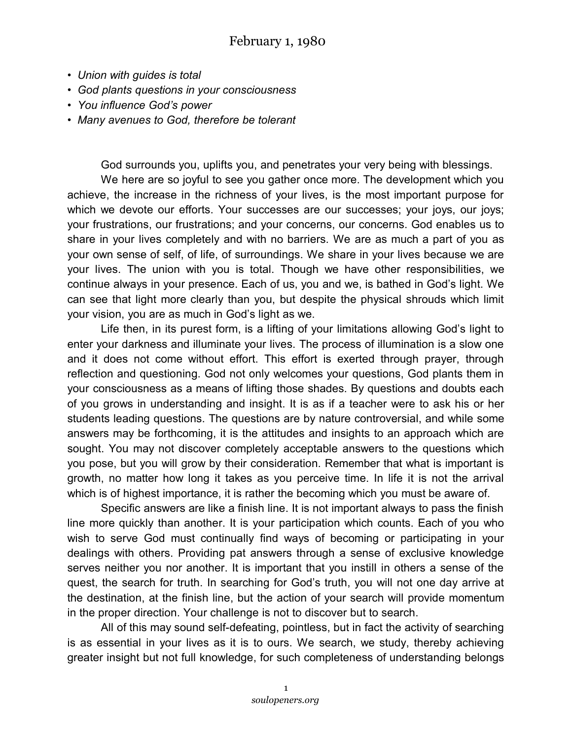- *Union with guides is total*
- *God plants questions in your consciousness*
- *You influence God's power*
- *Many avenues to God, therefore be tolerant*

God surrounds you, uplifts you, and penetrates your very being with blessings.

We here are so joyful to see you gather once more. The development which you achieve, the increase in the richness of your lives, is the most important purpose for which we devote our efforts. Your successes are our successes; your joys, our joys; your frustrations, our frustrations; and your concerns, our concerns. God enables us to share in your lives completely and with no barriers. We are as much a part of you as your own sense of self, of life, of surroundings. We share in your lives because we are your lives. The union with you is total. Though we have other responsibilities, we continue always in your presence. Each of us, you and we, is bathed in God's light. We can see that light more clearly than you, but despite the physical shrouds which limit your vision, you are as much in God's light as we.

Life then, in its purest form, is a lifting of your limitations allowing God's light to enter your darkness and illuminate your lives. The process of illumination is a slow one and it does not come without effort. This effort is exerted through prayer, through reflection and questioning. God not only welcomes your questions, God plants them in your consciousness as a means of lifting those shades. By questions and doubts each of you grows in understanding and insight. It is as if a teacher were to ask his or her students leading questions. The questions are by nature controversial, and while some answers may be forthcoming, it is the attitudes and insights to an approach which are sought. You may not discover completely acceptable answers to the questions which you pose, but you will grow by their consideration. Remember that what is important is growth, no matter how long it takes as you perceive time. In life it is not the arrival which is of highest importance, it is rather the becoming which you must be aware of.

Specific answers are like a finish line. It is not important always to pass the finish line more quickly than another. It is your participation which counts. Each of you who wish to serve God must continually find ways of becoming or participating in your dealings with others. Providing pat answers through a sense of exclusive knowledge serves neither you nor another. It is important that you instill in others a sense of the quest, the search for truth. In searching for God's truth, you will not one day arrive at the destination, at the finish line, but the action of your search will provide momentum in the proper direction. Your challenge is not to discover but to search.

All of this may sound self-defeating, pointless, but in fact the activity of searching is as essential in your lives as it is to ours. We search, we study, thereby achieving greater insight but not full knowledge, for such completeness of understanding belongs